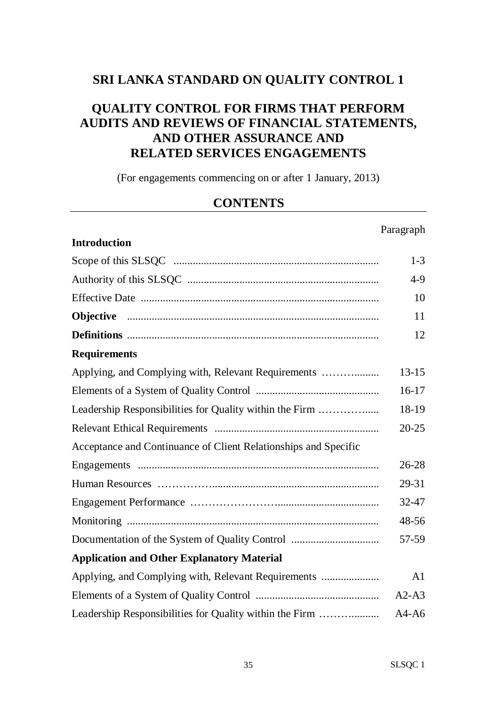# **SRI LANKA STANDARD ON QUALITY CONTROL 1**

# **QUALITY CONTROL FOR FIRMS THAT PERFORM AUDITS AND REVIEWS OF FINANCIAL STATEMENTS, AND OTHER ASSURANCE AND RELATED SERVICES ENGAGEMENTS**

(For engagements commencing on or after 1 January, 2013)

|                                                                 | Paragraph |
|-----------------------------------------------------------------|-----------|
| <b>Introduction</b>                                             |           |
|                                                                 | $1 - 3$   |
|                                                                 | $4-9$     |
|                                                                 | 10        |
|                                                                 | 11        |
|                                                                 | 12        |
| <b>Requirements</b>                                             |           |
| Applying, and Complying with, Relevant Requirements             | $13 - 15$ |
|                                                                 | $16-17$   |
| Leadership Responsibilities for Quality within the Firm         | 18-19     |
|                                                                 | $20 - 25$ |
| Acceptance and Continuance of Client Relationships and Specific |           |
|                                                                 | 26-28     |
|                                                                 | 29-31     |
|                                                                 | 32-47     |
|                                                                 | 48-56     |
| Documentation of the System of Quality Control                  | 57-59     |
| <b>Application and Other Explanatory Material</b>               |           |
| Applying, and Complying with, Relevant Requirements             | A1        |
|                                                                 | $A2-A3$   |
| Leadership Responsibilities for Quality within the Firm         | $A4-A6$   |

# **CONTENTS**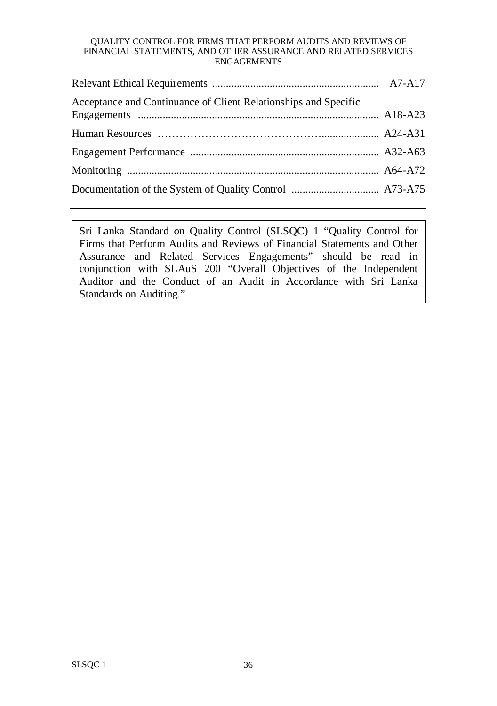| Acceptance and Continuance of Client Relationships and Specific |  |
|-----------------------------------------------------------------|--|
|                                                                 |  |
|                                                                 |  |
|                                                                 |  |
|                                                                 |  |

Sri Lanka Standard on Quality Control (SLSQC) 1 "Quality Control for Firms that Perform Audits and Reviews of Financial Statements and Other Assurance and Related Services Engagements" should be read in conjunction with SLAuS 200 "Overall Objectives of the Independent Auditor and the Conduct of an Audit in Accordance with Sri Lanka Standards on Auditing."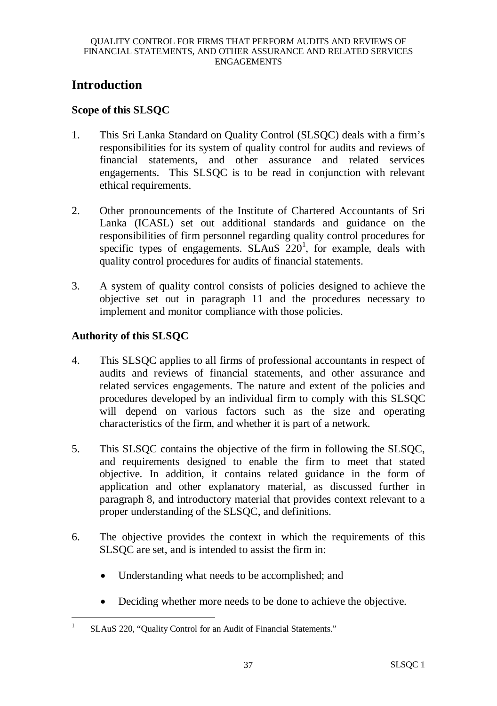# **Introduction**

# **Scope of this SLSQC**

- 1. This Sri Lanka Standard on Quality Control (SLSQC) deals with a firm's responsibilities for its system of quality control for audits and reviews of financial statements, and other assurance and related services engagements. This SLSQC is to be read in conjunction with relevant ethical requirements.
- 2. Other pronouncements of the Institute of Chartered Accountants of Sri Lanka (ICASL) set out additional standards and guidance on the responsibilities of firm personnel regarding quality control procedures for specific types of engagements. SLAuS  $220<sup>1</sup>$ , for example, deals with quality control procedures for audits of financial statements.
- 3. A system of quality control consists of policies designed to achieve the objective set out in paragraph 11 and the procedures necessary to implement and monitor compliance with those policies.

# **Authority of this SLSQC**

- 4. This SLSQC applies to all firms of professional accountants in respect of audits and reviews of financial statements, and other assurance and related services engagements. The nature and extent of the policies and procedures developed by an individual firm to comply with this SLSQC will depend on various factors such as the size and operating characteristics of the firm, and whether it is part of a network.
- 5. This SLSQC contains the objective of the firm in following the SLSQC, and requirements designed to enable the firm to meet that stated objective. In addition, it contains related guidance in the form of application and other explanatory material, as discussed further in paragraph 8, and introductory material that provides context relevant to a proper understanding of the SLSQC, and definitions.
- 6. The objective provides the context in which the requirements of this SLSQC are set, and is intended to assist the firm in:
	- Understanding what needs to be accomplished; and
	- Deciding whether more needs to be done to achieve the objective.

 $\frac{1}{1}$ SLAuS 220, "Quality Control for an Audit of Financial Statements."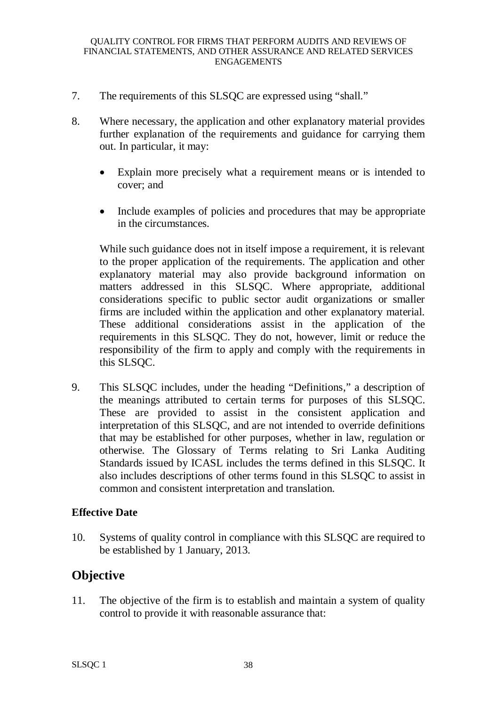- 7. The requirements of this SLSQC are expressed using "shall."
- 8. Where necessary, the application and other explanatory material provides further explanation of the requirements and guidance for carrying them out. In particular, it may:
	- Explain more precisely what a requirement means or is intended to cover; and
	- Include examples of policies and procedures that may be appropriate in the circumstances.

While such guidance does not in itself impose a requirement, it is relevant to the proper application of the requirements. The application and other explanatory material may also provide background information on matters addressed in this SLSQC. Where appropriate, additional considerations specific to public sector audit organizations or smaller firms are included within the application and other explanatory material. These additional considerations assist in the application of the requirements in this SLSQC. They do not, however, limit or reduce the responsibility of the firm to apply and comply with the requirements in this SLSQC.

9. This SLSQC includes, under the heading "Definitions," a description of the meanings attributed to certain terms for purposes of this SLSQC. These are provided to assist in the consistent application and interpretation of this SLSQC, and are not intended to override definitions that may be established for other purposes, whether in law, regulation or otherwise. The Glossary of Terms relating to Sri Lanka Auditing Standards issued by ICASL includes the terms defined in this SLSQC. It also includes descriptions of other terms found in this SLSQC to assist in common and consistent interpretation and translation.

# **Effective Date**

10. Systems of quality control in compliance with this SLSQC are required to be established by 1 January, 2013.

# **Objective**

11. The objective of the firm is to establish and maintain a system of quality control to provide it with reasonable assurance that: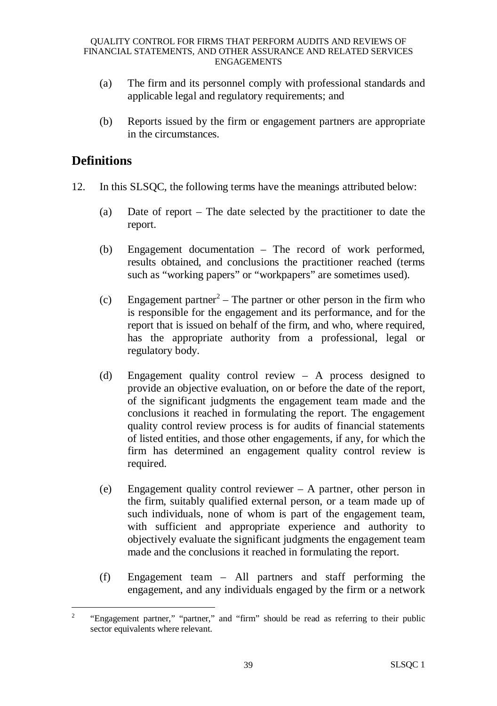- (a) The firm and its personnel comply with professional standards and applicable legal and regulatory requirements; and
- (b) Reports issued by the firm or engagement partners are appropriate in the circumstances.

# **Definitions**

- 12. In this SLSQC, the following terms have the meanings attributed below:
	- (a) Date of report The date selected by the practitioner to date the report.
	- (b) Engagement documentation The record of work performed, results obtained, and conclusions the practitioner reached (terms such as "working papers" or "workpapers" are sometimes used).
	- (c) Engagement partner<sup>2</sup> The partner or other person in the firm who is responsible for the engagement and its performance, and for the report that is issued on behalf of the firm, and who, where required, has the appropriate authority from a professional, legal or regulatory body.
	- (d) Engagement quality control review A process designed to provide an objective evaluation, on or before the date of the report, of the significant judgments the engagement team made and the conclusions it reached in formulating the report. The engagement quality control review process is for audits of financial statements of listed entities, and those other engagements, if any, for which the firm has determined an engagement quality control review is required.
	- (e) Engagement quality control reviewer A partner, other person in the firm, suitably qualified external person, or a team made up of such individuals, none of whom is part of the engagement team, with sufficient and appropriate experience and authority to objectively evaluate the significant judgments the engagement team made and the conclusions it reached in formulating the report.
	- (f) Engagement team All partners and staff performing the engagement, and any individuals engaged by the firm or a network

 $\frac{1}{2}$ "Engagement partner," "partner," and "firm" should be read as referring to their public sector equivalents where relevant.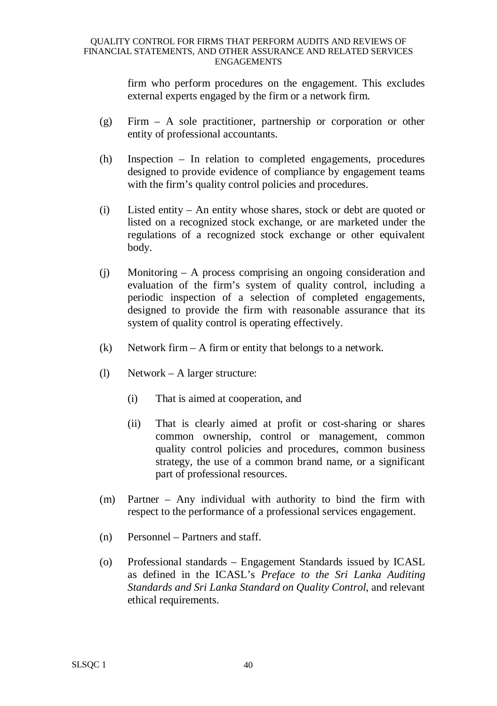firm who perform procedures on the engagement. This excludes external experts engaged by the firm or a network firm.

- (g) Firm A sole practitioner, partnership or corporation or other entity of professional accountants.
- (h) Inspection In relation to completed engagements, procedures designed to provide evidence of compliance by engagement teams with the firm's quality control policies and procedures.
- (i) Listed entity An entity whose shares, stock or debt are quoted or listed on a recognized stock exchange, or are marketed under the regulations of a recognized stock exchange or other equivalent body.
- (j) Monitoring A process comprising an ongoing consideration and evaluation of the firm's system of quality control, including a periodic inspection of a selection of completed engagements, designed to provide the firm with reasonable assurance that its system of quality control is operating effectively.
- (k) Network firm A firm or entity that belongs to a network.
- (l) Network A larger structure:
	- (i) That is aimed at cooperation, and
	- (ii) That is clearly aimed at profit or cost-sharing or shares common ownership, control or management, common quality control policies and procedures, common business strategy, the use of a common brand name, or a significant part of professional resources.
- (m) Partner Any individual with authority to bind the firm with respect to the performance of a professional services engagement.
- (n) Personnel Partners and staff.
- (o) Professional standards Engagement Standards issued by ICASL as defined in the ICASL's *Preface to the Sri Lanka Auditing Standards and Sri Lanka Standard on Quality Control*, and relevant ethical requirements.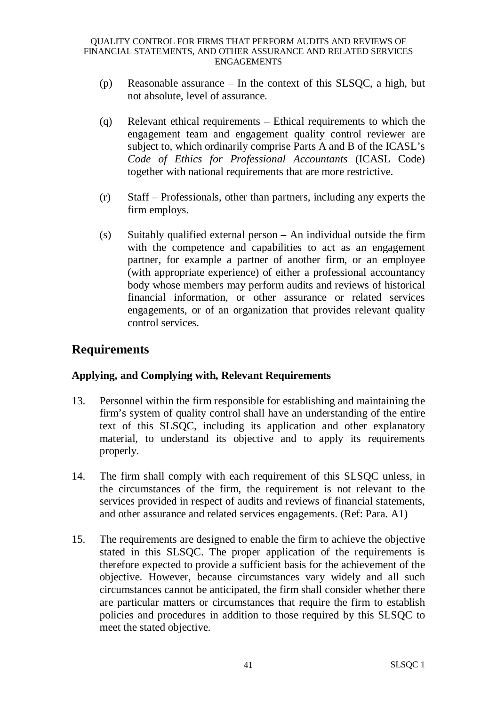- (p) Reasonable assurance In the context of this SLSQC, a high, but not absolute, level of assurance.
- (q) Relevant ethical requirements Ethical requirements to which the engagement team and engagement quality control reviewer are subject to, which ordinarily comprise Parts A and B of the ICASL's *Code of Ethics for Professional Accountants* (ICASL Code) together with national requirements that are more restrictive.
- (r) Staff Professionals, other than partners, including any experts the firm employs.
- (s) Suitably qualified external person An individual outside the firm with the competence and capabilities to act as an engagement partner, for example a partner of another firm, or an employee (with appropriate experience) of either a professional accountancy body whose members may perform audits and reviews of historical financial information, or other assurance or related services engagements, or of an organization that provides relevant quality control services.

# **Requirements**

# **Applying, and Complying with, Relevant Requirements**

- 13. Personnel within the firm responsible for establishing and maintaining the firm's system of quality control shall have an understanding of the entire text of this SLSQC, including its application and other explanatory material, to understand its objective and to apply its requirements properly.
- 14. The firm shall comply with each requirement of this SLSQC unless, in the circumstances of the firm, the requirement is not relevant to the services provided in respect of audits and reviews of financial statements, and other assurance and related services engagements. (Ref: Para. A1)
- 15. The requirements are designed to enable the firm to achieve the objective stated in this SLSQC. The proper application of the requirements is therefore expected to provide a sufficient basis for the achievement of the objective. However, because circumstances vary widely and all such circumstances cannot be anticipated, the firm shall consider whether there are particular matters or circumstances that require the firm to establish policies and procedures in addition to those required by this SLSQC to meet the stated objective.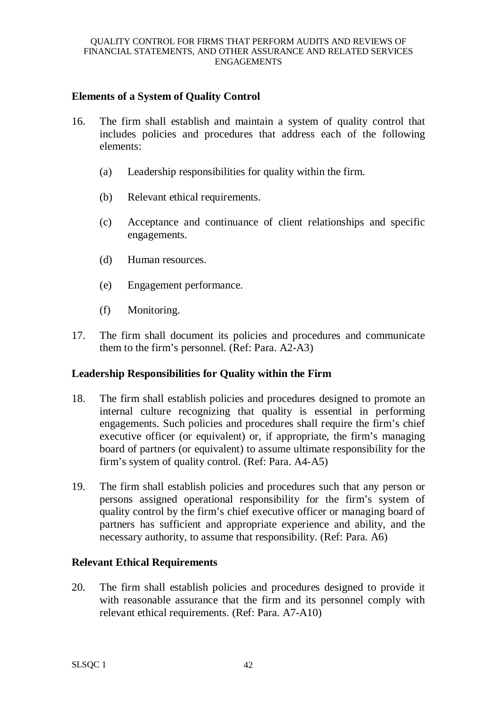# **Elements of a System of Quality Control**

- 16. The firm shall establish and maintain a system of quality control that includes policies and procedures that address each of the following elements:
	- (a) Leadership responsibilities for quality within the firm.
	- (b) Relevant ethical requirements.
	- (c) Acceptance and continuance of client relationships and specific engagements.
	- (d) Human resources.
	- (e) Engagement performance.
	- (f) Monitoring.
- 17. The firm shall document its policies and procedures and communicate them to the firm's personnel. (Ref: Para. A2-A3)

# **Leadership Responsibilities for Quality within the Firm**

- 18. The firm shall establish policies and procedures designed to promote an internal culture recognizing that quality is essential in performing engagements. Such policies and procedures shall require the firm's chief executive officer (or equivalent) or, if appropriate, the firm's managing board of partners (or equivalent) to assume ultimate responsibility for the firm's system of quality control. (Ref: Para. A4-A5)
- 19. The firm shall establish policies and procedures such that any person or persons assigned operational responsibility for the firm's system of quality control by the firm's chief executive officer or managing board of partners has sufficient and appropriate experience and ability, and the necessary authority, to assume that responsibility. (Ref: Para. A6)

# **Relevant Ethical Requirements**

20. The firm shall establish policies and procedures designed to provide it with reasonable assurance that the firm and its personnel comply with relevant ethical requirements. (Ref: Para. A7-A10)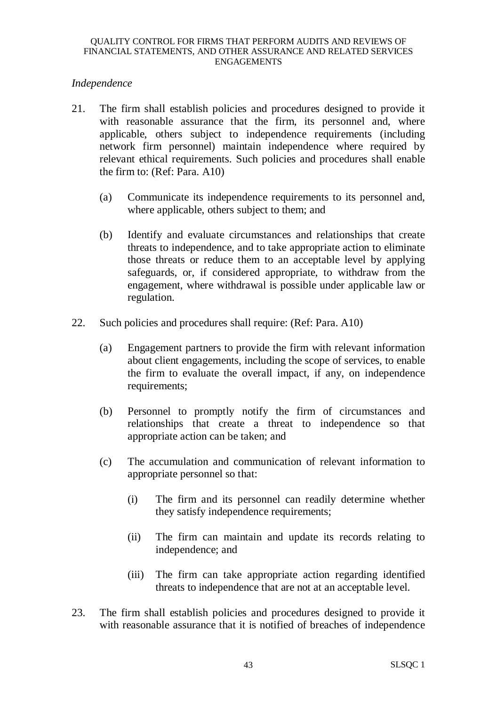### *Independence*

- 21. The firm shall establish policies and procedures designed to provide it with reasonable assurance that the firm, its personnel and, where applicable, others subject to independence requirements (including network firm personnel) maintain independence where required by relevant ethical requirements. Such policies and procedures shall enable the firm to: (Ref: Para. A10)
	- (a) Communicate its independence requirements to its personnel and, where applicable, others subject to them; and
	- (b) Identify and evaluate circumstances and relationships that create threats to independence, and to take appropriate action to eliminate those threats or reduce them to an acceptable level by applying safeguards, or, if considered appropriate, to withdraw from the engagement, where withdrawal is possible under applicable law or regulation.
- 22. Such policies and procedures shall require: (Ref: Para. A10)
	- (a) Engagement partners to provide the firm with relevant information about client engagements, including the scope of services, to enable the firm to evaluate the overall impact, if any, on independence requirements;
	- (b) Personnel to promptly notify the firm of circumstances and relationships that create a threat to independence so that appropriate action can be taken; and
	- (c) The accumulation and communication of relevant information to appropriate personnel so that:
		- (i) The firm and its personnel can readily determine whether they satisfy independence requirements;
		- (ii) The firm can maintain and update its records relating to independence; and
		- (iii) The firm can take appropriate action regarding identified threats to independence that are not at an acceptable level.
- 23. The firm shall establish policies and procedures designed to provide it with reasonable assurance that it is notified of breaches of independence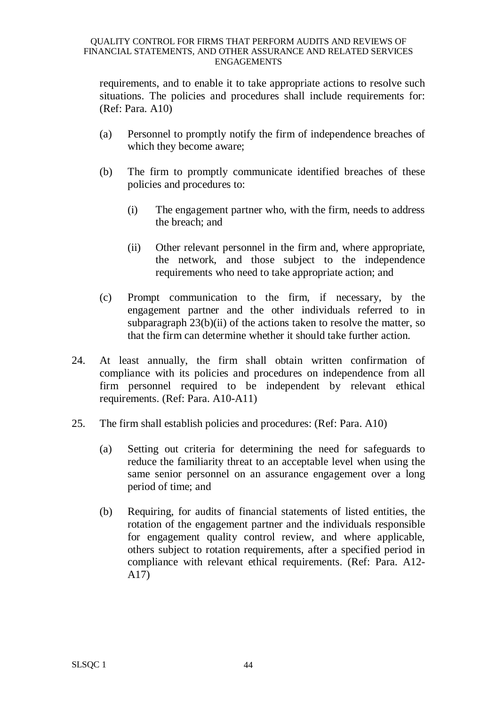requirements, and to enable it to take appropriate actions to resolve such situations. The policies and procedures shall include requirements for: (Ref: Para. A10)

- (a) Personnel to promptly notify the firm of independence breaches of which they become aware;
- (b) The firm to promptly communicate identified breaches of these policies and procedures to:
	- (i) The engagement partner who, with the firm, needs to address the breach; and
	- (ii) Other relevant personnel in the firm and, where appropriate, the network, and those subject to the independence requirements who need to take appropriate action; and
- (c) Prompt communication to the firm, if necessary, by the engagement partner and the other individuals referred to in subparagraph  $23(b)(ii)$  of the actions taken to resolve the matter, so that the firm can determine whether it should take further action.
- 24. At least annually, the firm shall obtain written confirmation of compliance with its policies and procedures on independence from all firm personnel required to be independent by relevant ethical requirements. (Ref: Para. A10-A11)
- 25. The firm shall establish policies and procedures: (Ref: Para. A10)
	- (a) Setting out criteria for determining the need for safeguards to reduce the familiarity threat to an acceptable level when using the same senior personnel on an assurance engagement over a long period of time; and
	- (b) Requiring, for audits of financial statements of listed entities, the rotation of the engagement partner and the individuals responsible for engagement quality control review, and where applicable, others subject to rotation requirements, after a specified period in compliance with relevant ethical requirements. (Ref: Para. A12- A17)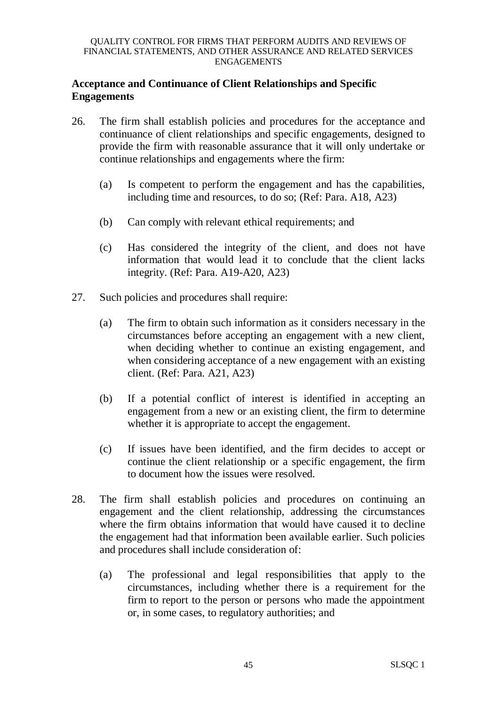# **Acceptance and Continuance of Client Relationships and Specific Engagements**

- 26. The firm shall establish policies and procedures for the acceptance and continuance of client relationships and specific engagements, designed to provide the firm with reasonable assurance that it will only undertake or continue relationships and engagements where the firm:
	- (a) Is competent to perform the engagement and has the capabilities, including time and resources, to do so; (Ref: Para. A18, A23)
	- (b) Can comply with relevant ethical requirements; and
	- (c) Has considered the integrity of the client, and does not have information that would lead it to conclude that the client lacks integrity. (Ref: Para. A19-A20, A23)
- 27. Such policies and procedures shall require:
	- (a) The firm to obtain such information as it considers necessary in the circumstances before accepting an engagement with a new client, when deciding whether to continue an existing engagement, and when considering acceptance of a new engagement with an existing client. (Ref: Para. A21, A23)
	- (b) If a potential conflict of interest is identified in accepting an engagement from a new or an existing client, the firm to determine whether it is appropriate to accept the engagement.
	- (c) If issues have been identified, and the firm decides to accept or continue the client relationship or a specific engagement, the firm to document how the issues were resolved.
- 28. The firm shall establish policies and procedures on continuing an engagement and the client relationship, addressing the circumstances where the firm obtains information that would have caused it to decline the engagement had that information been available earlier. Such policies and procedures shall include consideration of:
	- (a) The professional and legal responsibilities that apply to the circumstances, including whether there is a requirement for the firm to report to the person or persons who made the appointment or, in some cases, to regulatory authorities; and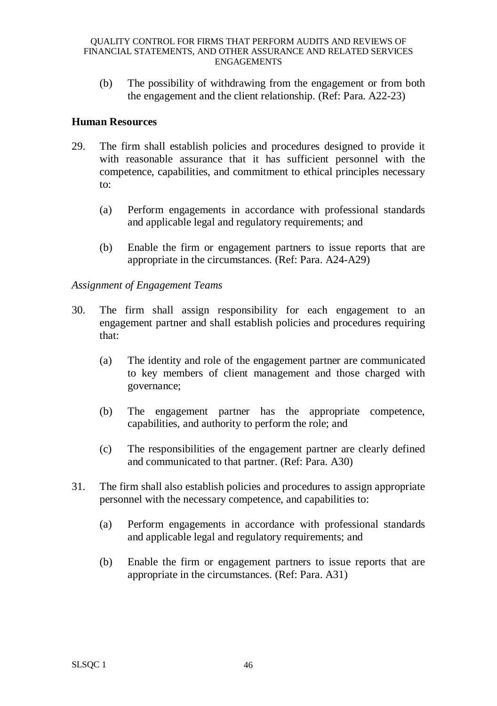(b) The possibility of withdrawing from the engagement or from both the engagement and the client relationship. (Ref: Para. A22-23)

# **Human Resources**

- 29. The firm shall establish policies and procedures designed to provide it with reasonable assurance that it has sufficient personnel with the competence, capabilities, and commitment to ethical principles necessary to:
	- (a) Perform engagements in accordance with professional standards and applicable legal and regulatory requirements; and
	- (b) Enable the firm or engagement partners to issue reports that are appropriate in the circumstances. (Ref: Para. A24-A29)

# *Assignment of Engagement Teams*

- 30. The firm shall assign responsibility for each engagement to an engagement partner and shall establish policies and procedures requiring that:
	- (a) The identity and role of the engagement partner are communicated to key members of client management and those charged with governance;
	- (b) The engagement partner has the appropriate competence, capabilities, and authority to perform the role; and
	- (c) The responsibilities of the engagement partner are clearly defined and communicated to that partner. (Ref: Para. A30)
- 31. The firm shall also establish policies and procedures to assign appropriate personnel with the necessary competence, and capabilities to:
	- (a) Perform engagements in accordance with professional standards and applicable legal and regulatory requirements; and
	- (b) Enable the firm or engagement partners to issue reports that are appropriate in the circumstances. (Ref: Para. A31)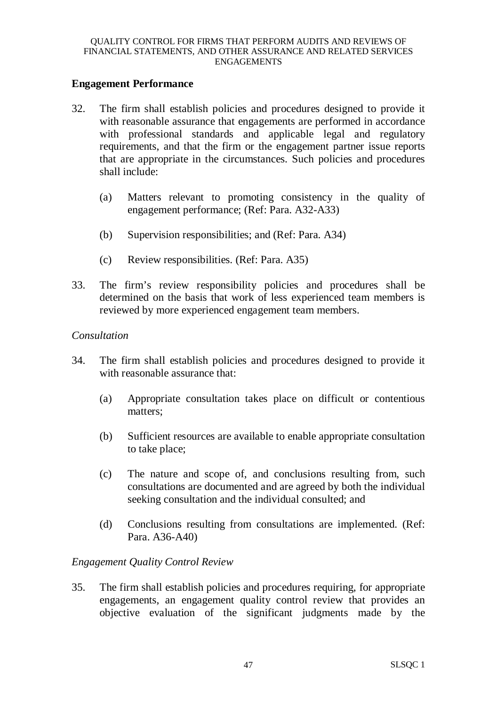### **Engagement Performance**

- 32. The firm shall establish policies and procedures designed to provide it with reasonable assurance that engagements are performed in accordance with professional standards and applicable legal and regulatory requirements, and that the firm or the engagement partner issue reports that are appropriate in the circumstances. Such policies and procedures shall include:
	- (a) Matters relevant to promoting consistency in the quality of engagement performance; (Ref: Para. A32-A33)
	- (b) Supervision responsibilities; and (Ref: Para. A34)
	- (c) Review responsibilities. (Ref: Para. A35)
- 33. The firm's review responsibility policies and procedures shall be determined on the basis that work of less experienced team members is reviewed by more experienced engagement team members.

### *Consultation*

- 34. The firm shall establish policies and procedures designed to provide it with reasonable assurance that:
	- (a) Appropriate consultation takes place on difficult or contentious matters;
	- (b) Sufficient resources are available to enable appropriate consultation to take place;
	- (c) The nature and scope of, and conclusions resulting from, such consultations are documented and are agreed by both the individual seeking consultation and the individual consulted; and
	- (d) Conclusions resulting from consultations are implemented. (Ref: Para. A36-A40)

### *Engagement Quality Control Review*

35. The firm shall establish policies and procedures requiring, for appropriate engagements, an engagement quality control review that provides an objective evaluation of the significant judgments made by the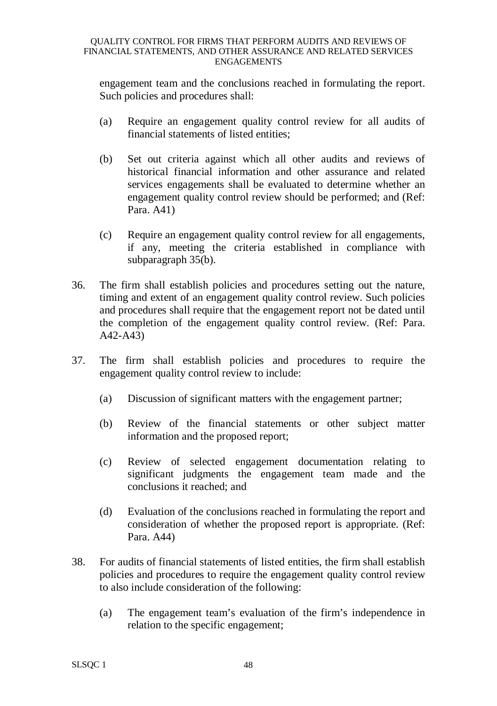engagement team and the conclusions reached in formulating the report. Such policies and procedures shall:

- (a) Require an engagement quality control review for all audits of financial statements of listed entities;
- (b) Set out criteria against which all other audits and reviews of historical financial information and other assurance and related services engagements shall be evaluated to determine whether an engagement quality control review should be performed; and (Ref: Para. A41)
- (c) Require an engagement quality control review for all engagements, if any, meeting the criteria established in compliance with subparagraph 35(b).
- 36. The firm shall establish policies and procedures setting out the nature, timing and extent of an engagement quality control review. Such policies and procedures shall require that the engagement report not be dated until the completion of the engagement quality control review. (Ref: Para. A42-A43)
- 37. The firm shall establish policies and procedures to require the engagement quality control review to include:
	- (a) Discussion of significant matters with the engagement partner;
	- (b) Review of the financial statements or other subject matter information and the proposed report;
	- (c) Review of selected engagement documentation relating to significant judgments the engagement team made and the conclusions it reached; and
	- (d) Evaluation of the conclusions reached in formulating the report and consideration of whether the proposed report is appropriate. (Ref: Para. A44)
- 38. For audits of financial statements of listed entities, the firm shall establish policies and procedures to require the engagement quality control review to also include consideration of the following:
	- (a) The engagement team's evaluation of the firm's independence in relation to the specific engagement;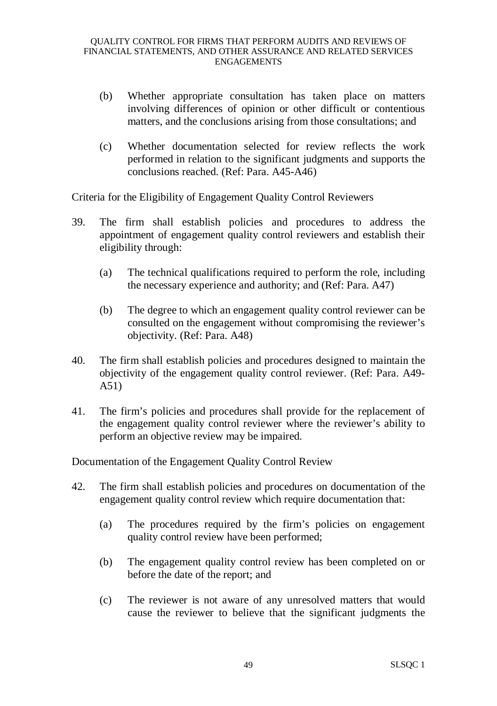- (b) Whether appropriate consultation has taken place on matters involving differences of opinion or other difficult or contentious matters, and the conclusions arising from those consultations; and
- (c) Whether documentation selected for review reflects the work performed in relation to the significant judgments and supports the conclusions reached. (Ref: Para. A45-A46)

Criteria for the Eligibility of Engagement Quality Control Reviewers

- 39. The firm shall establish policies and procedures to address the appointment of engagement quality control reviewers and establish their eligibility through:
	- (a) The technical qualifications required to perform the role, including the necessary experience and authority; and (Ref: Para. A47)
	- (b) The degree to which an engagement quality control reviewer can be consulted on the engagement without compromising the reviewer's objectivity. (Ref: Para. A48)
- 40. The firm shall establish policies and procedures designed to maintain the objectivity of the engagement quality control reviewer. (Ref: Para. A49- A51)
- 41. The firm's policies and procedures shall provide for the replacement of the engagement quality control reviewer where the reviewer's ability to perform an objective review may be impaired.

Documentation of the Engagement Quality Control Review

- 42. The firm shall establish policies and procedures on documentation of the engagement quality control review which require documentation that:
	- (a) The procedures required by the firm's policies on engagement quality control review have been performed;
	- (b) The engagement quality control review has been completed on or before the date of the report; and
	- (c) The reviewer is not aware of any unresolved matters that would cause the reviewer to believe that the significant judgments the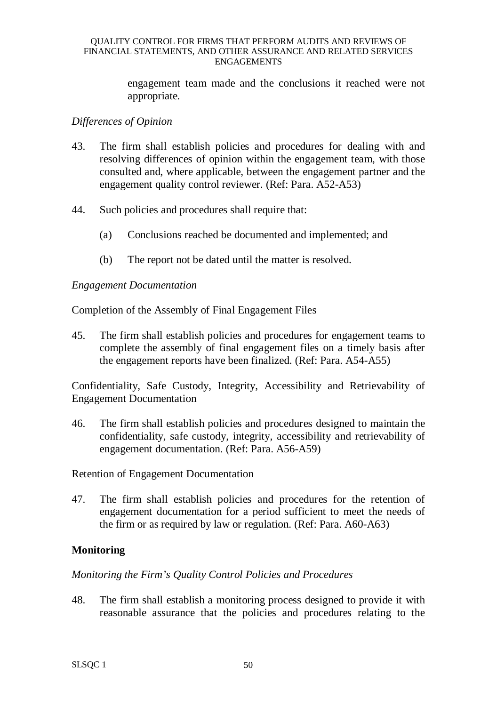engagement team made and the conclusions it reached were not appropriate.

### *Differences of Opinion*

- 43. The firm shall establish policies and procedures for dealing with and resolving differences of opinion within the engagement team, with those consulted and, where applicable, between the engagement partner and the engagement quality control reviewer. (Ref: Para. A52-A53)
- 44. Such policies and procedures shall require that:
	- (a) Conclusions reached be documented and implemented; and
	- (b) The report not be dated until the matter is resolved.

### *Engagement Documentation*

Completion of the Assembly of Final Engagement Files

45. The firm shall establish policies and procedures for engagement teams to complete the assembly of final engagement files on a timely basis after the engagement reports have been finalized. (Ref: Para. A54-A55)

Confidentiality, Safe Custody, Integrity, Accessibility and Retrievability of Engagement Documentation

46. The firm shall establish policies and procedures designed to maintain the confidentiality, safe custody, integrity, accessibility and retrievability of engagement documentation. (Ref: Para. A56-A59)

Retention of Engagement Documentation

47. The firm shall establish policies and procedures for the retention of engagement documentation for a period sufficient to meet the needs of the firm or as required by law or regulation. (Ref: Para. A60-A63)

# **Monitoring**

# *Monitoring the Firm's Quality Control Policies and Procedures*

48. The firm shall establish a monitoring process designed to provide it with reasonable assurance that the policies and procedures relating to the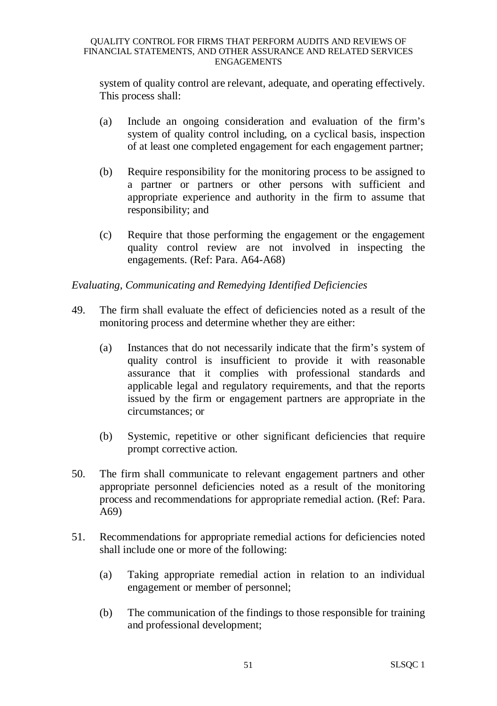system of quality control are relevant, adequate, and operating effectively. This process shall:

- (a) Include an ongoing consideration and evaluation of the firm's system of quality control including, on a cyclical basis, inspection of at least one completed engagement for each engagement partner;
- (b) Require responsibility for the monitoring process to be assigned to a partner or partners or other persons with sufficient and appropriate experience and authority in the firm to assume that responsibility; and
- (c) Require that those performing the engagement or the engagement quality control review are not involved in inspecting the engagements. (Ref: Para. A64-A68)

# *Evaluating, Communicating and Remedying Identified Deficiencies*

- 49. The firm shall evaluate the effect of deficiencies noted as a result of the monitoring process and determine whether they are either:
	- (a) Instances that do not necessarily indicate that the firm's system of quality control is insufficient to provide it with reasonable assurance that it complies with professional standards and applicable legal and regulatory requirements, and that the reports issued by the firm or engagement partners are appropriate in the circumstances; or
	- (b) Systemic, repetitive or other significant deficiencies that require prompt corrective action.
- 50. The firm shall communicate to relevant engagement partners and other appropriate personnel deficiencies noted as a result of the monitoring process and recommendations for appropriate remedial action. (Ref: Para. A69)
- 51. Recommendations for appropriate remedial actions for deficiencies noted shall include one or more of the following:
	- (a) Taking appropriate remedial action in relation to an individual engagement or member of personnel;
	- (b) The communication of the findings to those responsible for training and professional development;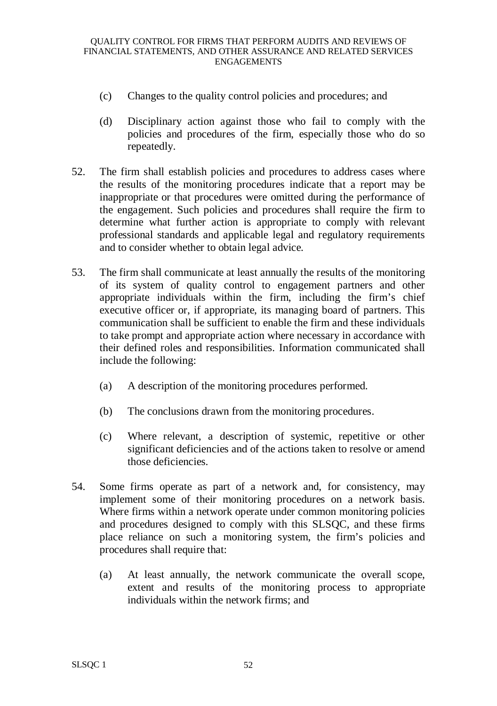- (c) Changes to the quality control policies and procedures; and
- (d) Disciplinary action against those who fail to comply with the policies and procedures of the firm, especially those who do so repeatedly.
- 52. The firm shall establish policies and procedures to address cases where the results of the monitoring procedures indicate that a report may be inappropriate or that procedures were omitted during the performance of the engagement. Such policies and procedures shall require the firm to determine what further action is appropriate to comply with relevant professional standards and applicable legal and regulatory requirements and to consider whether to obtain legal advice.
- 53. The firm shall communicate at least annually the results of the monitoring of its system of quality control to engagement partners and other appropriate individuals within the firm, including the firm's chief executive officer or, if appropriate, its managing board of partners. This communication shall be sufficient to enable the firm and these individuals to take prompt and appropriate action where necessary in accordance with their defined roles and responsibilities. Information communicated shall include the following:
	- (a) A description of the monitoring procedures performed.
	- (b) The conclusions drawn from the monitoring procedures.
	- (c) Where relevant, a description of systemic, repetitive or other significant deficiencies and of the actions taken to resolve or amend those deficiencies.
- 54. Some firms operate as part of a network and, for consistency, may implement some of their monitoring procedures on a network basis. Where firms within a network operate under common monitoring policies and procedures designed to comply with this SLSQC, and these firms place reliance on such a monitoring system, the firm's policies and procedures shall require that:
	- (a) At least annually, the network communicate the overall scope, extent and results of the monitoring process to appropriate individuals within the network firms; and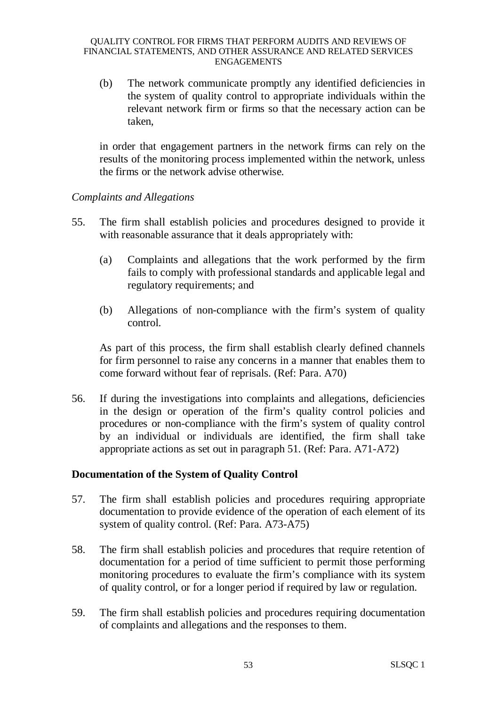(b) The network communicate promptly any identified deficiencies in the system of quality control to appropriate individuals within the relevant network firm or firms so that the necessary action can be taken,

in order that engagement partners in the network firms can rely on the results of the monitoring process implemented within the network, unless the firms or the network advise otherwise.

# *Complaints and Allegations*

- 55. The firm shall establish policies and procedures designed to provide it with reasonable assurance that it deals appropriately with:
	- (a) Complaints and allegations that the work performed by the firm fails to comply with professional standards and applicable legal and regulatory requirements; and
	- (b) Allegations of non-compliance with the firm's system of quality control.

As part of this process, the firm shall establish clearly defined channels for firm personnel to raise any concerns in a manner that enables them to come forward without fear of reprisals. (Ref: Para. A70)

56. If during the investigations into complaints and allegations, deficiencies in the design or operation of the firm's quality control policies and procedures or non-compliance with the firm's system of quality control by an individual or individuals are identified, the firm shall take appropriate actions as set out in paragraph 51. (Ref: Para. A71-A72)

# **Documentation of the System of Quality Control**

- 57. The firm shall establish policies and procedures requiring appropriate documentation to provide evidence of the operation of each element of its system of quality control. (Ref: Para. A73-A75)
- 58. The firm shall establish policies and procedures that require retention of documentation for a period of time sufficient to permit those performing monitoring procedures to evaluate the firm's compliance with its system of quality control, or for a longer period if required by law or regulation.
- 59. The firm shall establish policies and procedures requiring documentation of complaints and allegations and the responses to them.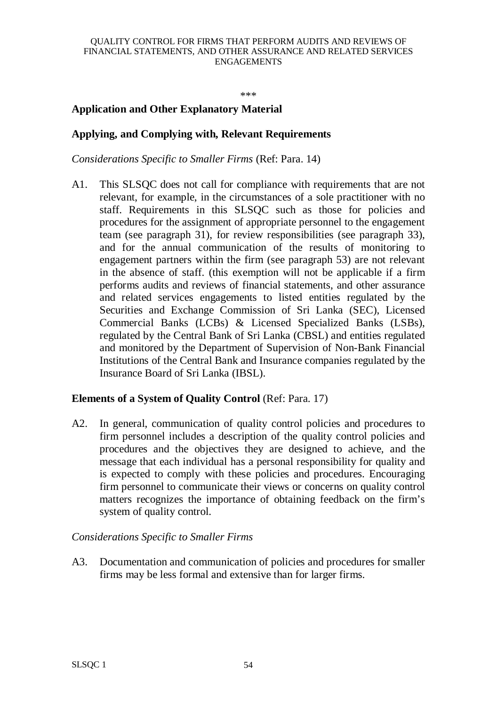\*\*\*

### **Application and Other Explanatory Material**

### **Applying, and Complying with, Relevant Requirements**

*Considerations Specific to Smaller Firms* (Ref: Para. 14)

A1. This SLSQC does not call for compliance with requirements that are not relevant, for example, in the circumstances of a sole practitioner with no staff. Requirements in this SLSQC such as those for policies and procedures for the assignment of appropriate personnel to the engagement team (see paragraph 31), for review responsibilities (see paragraph 33), and for the annual communication of the results of monitoring to engagement partners within the firm (see paragraph 53) are not relevant in the absence of staff. (this exemption will not be applicable if a firm performs audits and reviews of financial statements, and other assurance and related services engagements to listed entities regulated by the Securities and Exchange Commission of Sri Lanka (SEC), Licensed Commercial Banks (LCBs) & Licensed Specialized Banks (LSBs), regulated by the Central Bank of Sri Lanka (CBSL) and entities regulated and monitored by the Department of Supervision of Non-Bank Financial Institutions of the Central Bank and Insurance companies regulated by the Insurance Board of Sri Lanka (IBSL).

### **Elements of a System of Quality Control (Ref: Para. 17)**

A2. In general, communication of quality control policies and procedures to firm personnel includes a description of the quality control policies and procedures and the objectives they are designed to achieve, and the message that each individual has a personal responsibility for quality and is expected to comply with these policies and procedures. Encouraging firm personnel to communicate their views or concerns on quality control matters recognizes the importance of obtaining feedback on the firm's system of quality control.

### *Considerations Specific to Smaller Firms*

A3. Documentation and communication of policies and procedures for smaller firms may be less formal and extensive than for larger firms.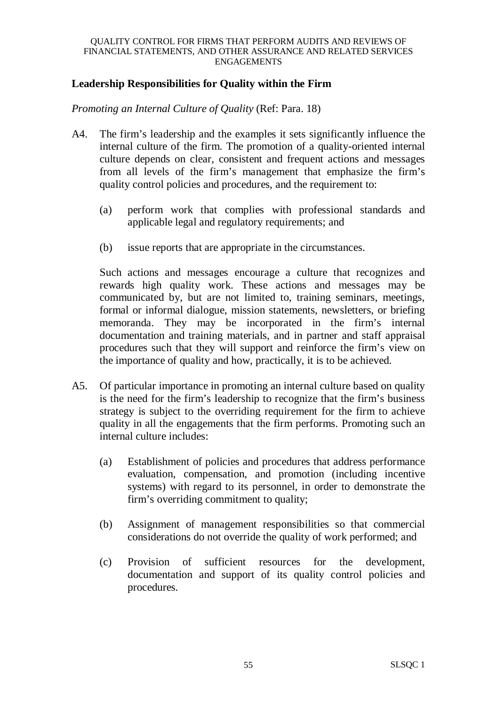### **Leadership Responsibilities for Quality within the Firm**

*Promoting an Internal Culture of Quality* (Ref: Para. 18)

- A4. The firm's leadership and the examples it sets significantly influence the internal culture of the firm. The promotion of a quality-oriented internal culture depends on clear, consistent and frequent actions and messages from all levels of the firm's management that emphasize the firm's quality control policies and procedures, and the requirement to:
	- (a) perform work that complies with professional standards and applicable legal and regulatory requirements; and
	- (b) issue reports that are appropriate in the circumstances.

Such actions and messages encourage a culture that recognizes and rewards high quality work. These actions and messages may be communicated by, but are not limited to, training seminars, meetings, formal or informal dialogue, mission statements, newsletters, or briefing memoranda. They may be incorporated in the firm's internal documentation and training materials, and in partner and staff appraisal procedures such that they will support and reinforce the firm's view on the importance of quality and how, practically, it is to be achieved.

- A5. Of particular importance in promoting an internal culture based on quality is the need for the firm's leadership to recognize that the firm's business strategy is subject to the overriding requirement for the firm to achieve quality in all the engagements that the firm performs. Promoting such an internal culture includes:
	- (a) Establishment of policies and procedures that address performance evaluation, compensation, and promotion (including incentive systems) with regard to its personnel, in order to demonstrate the firm's overriding commitment to quality;
	- (b) Assignment of management responsibilities so that commercial considerations do not override the quality of work performed; and
	- (c) Provision of sufficient resources for the development, documentation and support of its quality control policies and procedures.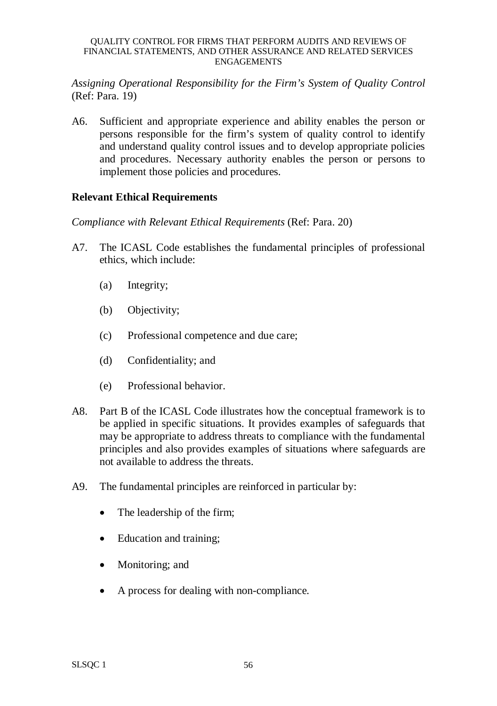*Assigning Operational Responsibility for the Firm's System of Quality Control*  (Ref: Para. 19)

A6. Sufficient and appropriate experience and ability enables the person or persons responsible for the firm's system of quality control to identify and understand quality control issues and to develop appropriate policies and procedures. Necessary authority enables the person or persons to implement those policies and procedures.

# **Relevant Ethical Requirements**

*Compliance with Relevant Ethical Requirements* (Ref: Para. 20)

- A7. The ICASL Code establishes the fundamental principles of professional ethics, which include:
	- (a) Integrity;
	- (b) Objectivity;
	- (c) Professional competence and due care;
	- (d) Confidentiality; and
	- (e) Professional behavior.
- A8. Part B of the ICASL Code illustrates how the conceptual framework is to be applied in specific situations. It provides examples of safeguards that may be appropriate to address threats to compliance with the fundamental principles and also provides examples of situations where safeguards are not available to address the threats.
- A9. The fundamental principles are reinforced in particular by:
	- The leadership of the firm;
	- Education and training;
	- Monitoring; and
	- A process for dealing with non-compliance.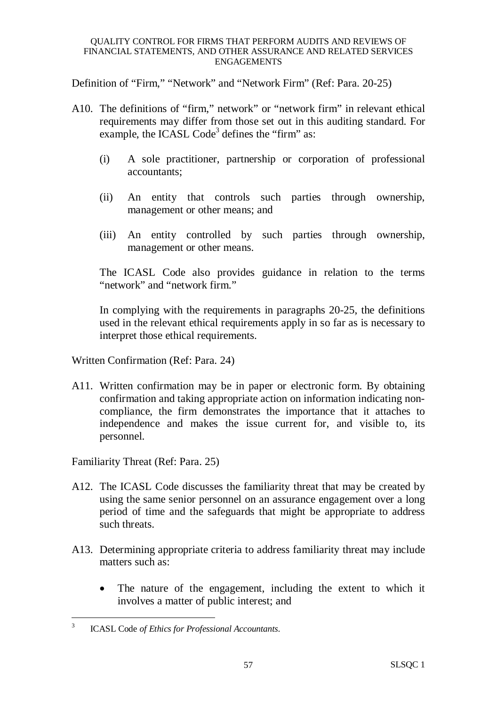Definition of "Firm," "Network" and "Network Firm" (Ref: Para. 20-25)

- A10. The definitions of "firm," network" or "network firm" in relevant ethical requirements may differ from those set out in this auditing standard. For example, the ICASL Code<sup>3</sup> defines the "firm" as:
	- (i) A sole practitioner, partnership or corporation of professional accountants;
	- (ii) An entity that controls such parties through ownership, management or other means; and
	- (iii) An entity controlled by such parties through ownership, management or other means.

The ICASL Code also provides guidance in relation to the terms "network" and "network firm."

In complying with the requirements in paragraphs 20-25, the definitions used in the relevant ethical requirements apply in so far as is necessary to interpret those ethical requirements.

Written Confirmation (Ref: Para. 24)

A11. Written confirmation may be in paper or electronic form. By obtaining confirmation and taking appropriate action on information indicating noncompliance, the firm demonstrates the importance that it attaches to independence and makes the issue current for, and visible to, its personnel.

Familiarity Threat (Ref: Para. 25)

- A12. The ICASL Code discusses the familiarity threat that may be created by using the same senior personnel on an assurance engagement over a long period of time and the safeguards that might be appropriate to address such threats.
- A13. Determining appropriate criteria to address familiarity threat may include matters such as:
	- The nature of the engagement, including the extent to which it involves a matter of public interest; and

<sup>&</sup>lt;sup>3</sup> ICASL Code *of Ethics for Professional Accountants.*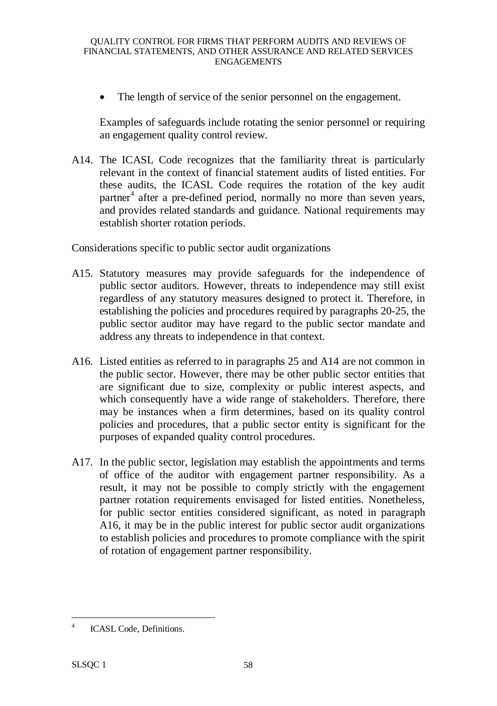The length of service of the senior personnel on the engagement.

Examples of safeguards include rotating the senior personnel or requiring an engagement quality control review.

A14. The ICASL Code recognizes that the familiarity threat is particularly relevant in the context of financial statement audits of listed entities. For these audits, the ICASL Code requires the rotation of the key audit partner<sup>4</sup> after a pre-defined period, normally no more than seven years, and provides related standards and guidance. National requirements may establish shorter rotation periods.

Considerations specific to public sector audit organizations

- A15. Statutory measures may provide safeguards for the independence of public sector auditors. However, threats to independence may still exist regardless of any statutory measures designed to protect it. Therefore, in establishing the policies and procedures required by paragraphs 20-25, the public sector auditor may have regard to the public sector mandate and address any threats to independence in that context.
- A16. Listed entities as referred to in paragraphs 25 and A14 are not common in the public sector. However, there may be other public sector entities that are significant due to size, complexity or public interest aspects, and which consequently have a wide range of stakeholders. Therefore, there may be instances when a firm determines, based on its quality control policies and procedures, that a public sector entity is significant for the purposes of expanded quality control procedures.
- A17. In the public sector, legislation may establish the appointments and terms of office of the auditor with engagement partner responsibility. As a result, it may not be possible to comply strictly with the engagement partner rotation requirements envisaged for listed entities. Nonetheless, for public sector entities considered significant, as noted in paragraph A16, it may be in the public interest for public sector audit organizations to establish policies and procedures to promote compliance with the spirit of rotation of engagement partner responsibility.

 $\frac{1}{4}$ ICASL Code, Definitions.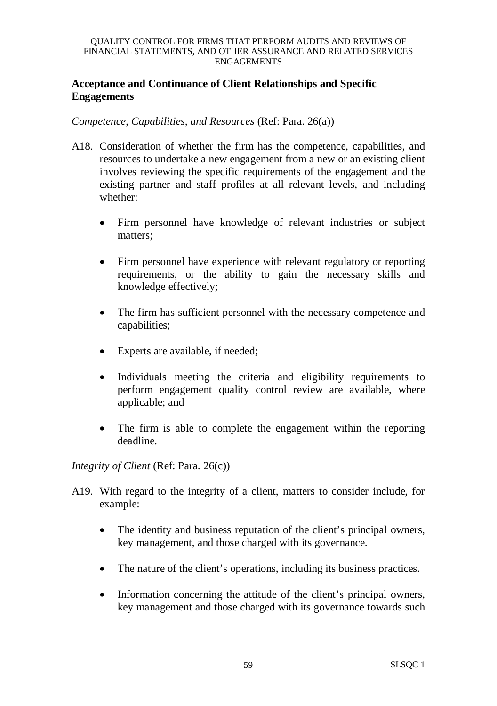# **Acceptance and Continuance of Client Relationships and Specific Engagements**

# *Competence, Capabilities, and Resources* (Ref: Para. 26(a))

- A18. Consideration of whether the firm has the competence, capabilities, and resources to undertake a new engagement from a new or an existing client involves reviewing the specific requirements of the engagement and the existing partner and staff profiles at all relevant levels, and including whether:
	- Firm personnel have knowledge of relevant industries or subject matters;
	- Firm personnel have experience with relevant regulatory or reporting requirements, or the ability to gain the necessary skills and knowledge effectively;
	- The firm has sufficient personnel with the necessary competence and capabilities;
	- Experts are available, if needed;
	- Individuals meeting the criteria and eligibility requirements to perform engagement quality control review are available, where applicable; and
	- The firm is able to complete the engagement within the reporting deadline.

# *Integrity of Client* (Ref: Para. 26(c))

- A19. With regard to the integrity of a client, matters to consider include, for example:
	- The identity and business reputation of the client's principal owners, key management, and those charged with its governance.
	- The nature of the client's operations, including its business practices.
	- Information concerning the attitude of the client's principal owners, key management and those charged with its governance towards such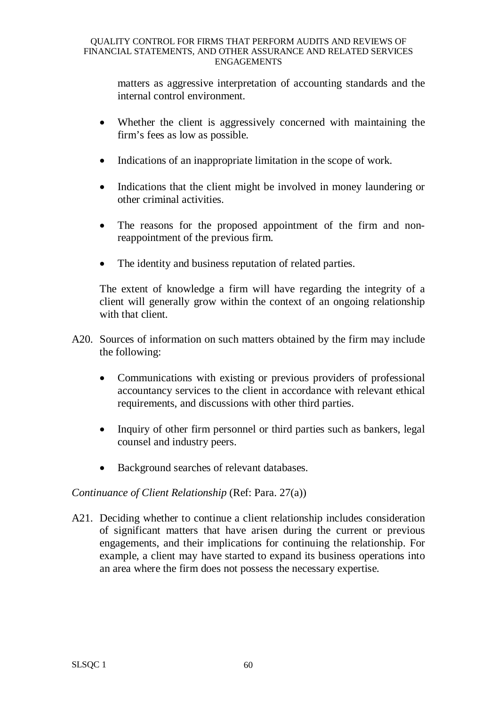matters as aggressive interpretation of accounting standards and the internal control environment.

- Whether the client is aggressively concerned with maintaining the firm's fees as low as possible.
- Indications of an inappropriate limitation in the scope of work.
- Indications that the client might be involved in money laundering or other criminal activities.
- The reasons for the proposed appointment of the firm and nonreappointment of the previous firm.
- The identity and business reputation of related parties.

The extent of knowledge a firm will have regarding the integrity of a client will generally grow within the context of an ongoing relationship with that client.

- A20. Sources of information on such matters obtained by the firm may include the following:
	- Communications with existing or previous providers of professional accountancy services to the client in accordance with relevant ethical requirements, and discussions with other third parties.
	- Inquiry of other firm personnel or third parties such as bankers, legal counsel and industry peers.
	- Background searches of relevant databases.

# *Continuance of Client Relationship* (Ref: Para. 27(a))

A21. Deciding whether to continue a client relationship includes consideration of significant matters that have arisen during the current or previous engagements, and their implications for continuing the relationship. For example, a client may have started to expand its business operations into an area where the firm does not possess the necessary expertise.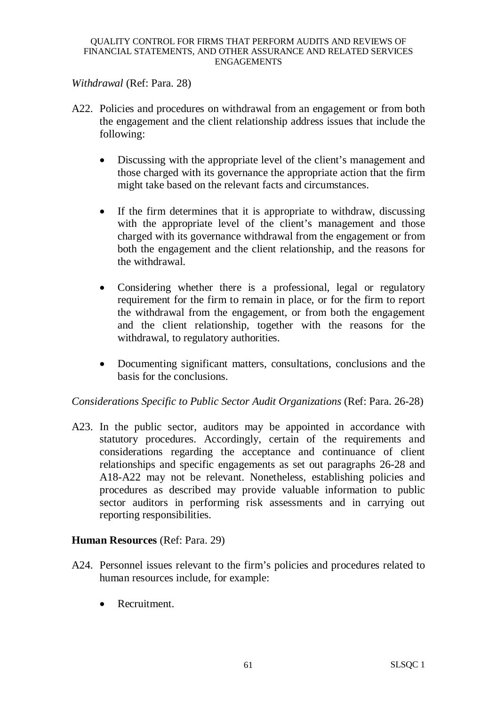### *Withdrawal* (Ref: Para. 28)

- A22. Policies and procedures on withdrawal from an engagement or from both the engagement and the client relationship address issues that include the following:
	- Discussing with the appropriate level of the client's management and those charged with its governance the appropriate action that the firm might take based on the relevant facts and circumstances.
	- If the firm determines that it is appropriate to withdraw, discussing with the appropriate level of the client's management and those charged with its governance withdrawal from the engagement or from both the engagement and the client relationship, and the reasons for the withdrawal.
	- Considering whether there is a professional, legal or regulatory requirement for the firm to remain in place, or for the firm to report the withdrawal from the engagement, or from both the engagement and the client relationship, together with the reasons for the withdrawal, to regulatory authorities.
	- Documenting significant matters, consultations, conclusions and the basis for the conclusions.

# *Considerations Specific to Public Sector Audit Organizations* (Ref: Para. 26-28)

A23. In the public sector, auditors may be appointed in accordance with statutory procedures. Accordingly, certain of the requirements and considerations regarding the acceptance and continuance of client relationships and specific engagements as set out paragraphs 26-28 and A18-A22 may not be relevant. Nonetheless, establishing policies and procedures as described may provide valuable information to public sector auditors in performing risk assessments and in carrying out reporting responsibilities.

# **Human Resources** (Ref: Para. 29)

- A24. Personnel issues relevant to the firm's policies and procedures related to human resources include, for example:
	- Recruitment.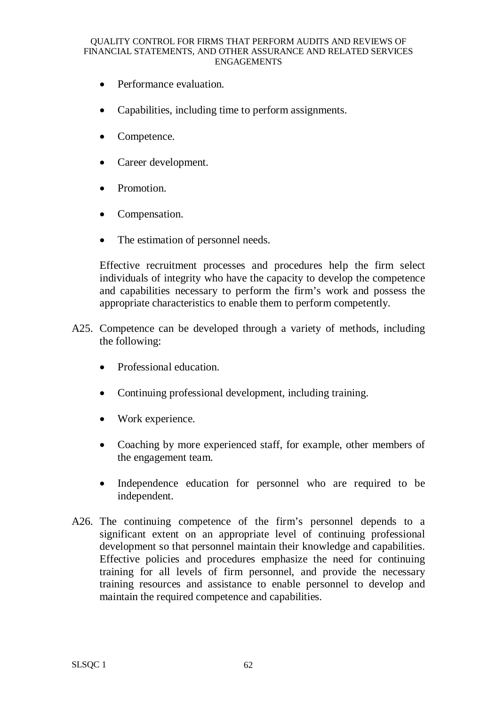- Performance evaluation.
- Capabilities, including time to perform assignments.
- Competence.
- Career development.
- Promotion.
- Compensation.
- The estimation of personnel needs.

Effective recruitment processes and procedures help the firm select individuals of integrity who have the capacity to develop the competence and capabilities necessary to perform the firm's work and possess the appropriate characteristics to enable them to perform competently.

- A25. Competence can be developed through a variety of methods, including the following:
	- Professional education
	- Continuing professional development, including training.
	- Work experience.
	- Coaching by more experienced staff, for example, other members of the engagement team.
	- Independence education for personnel who are required to be independent.
- A26. The continuing competence of the firm's personnel depends to a significant extent on an appropriate level of continuing professional development so that personnel maintain their knowledge and capabilities. Effective policies and procedures emphasize the need for continuing training for all levels of firm personnel, and provide the necessary training resources and assistance to enable personnel to develop and maintain the required competence and capabilities.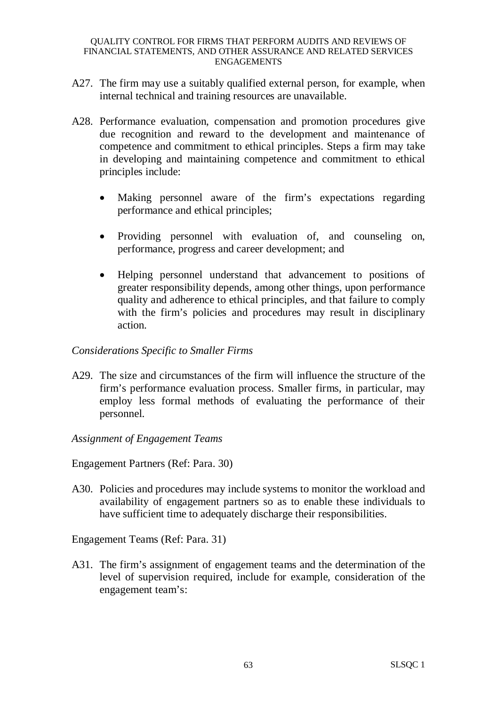- A27. The firm may use a suitably qualified external person, for example, when internal technical and training resources are unavailable.
- A28. Performance evaluation, compensation and promotion procedures give due recognition and reward to the development and maintenance of competence and commitment to ethical principles. Steps a firm may take in developing and maintaining competence and commitment to ethical principles include:
	- Making personnel aware of the firm's expectations regarding performance and ethical principles;
	- Providing personnel with evaluation of, and counseling on, performance, progress and career development; and
	- Helping personnel understand that advancement to positions of greater responsibility depends, among other things, upon performance quality and adherence to ethical principles, and that failure to comply with the firm's policies and procedures may result in disciplinary action.

### *Considerations Specific to Smaller Firms*

- A29. The size and circumstances of the firm will influence the structure of the firm's performance evaluation process. Smaller firms, in particular, may employ less formal methods of evaluating the performance of their personnel.
- *Assignment of Engagement Teams*

Engagement Partners (Ref: Para. 30)

A30. Policies and procedures may include systems to monitor the workload and availability of engagement partners so as to enable these individuals to have sufficient time to adequately discharge their responsibilities.

Engagement Teams (Ref: Para. 31)

A31. The firm's assignment of engagement teams and the determination of the level of supervision required, include for example, consideration of the engagement team's: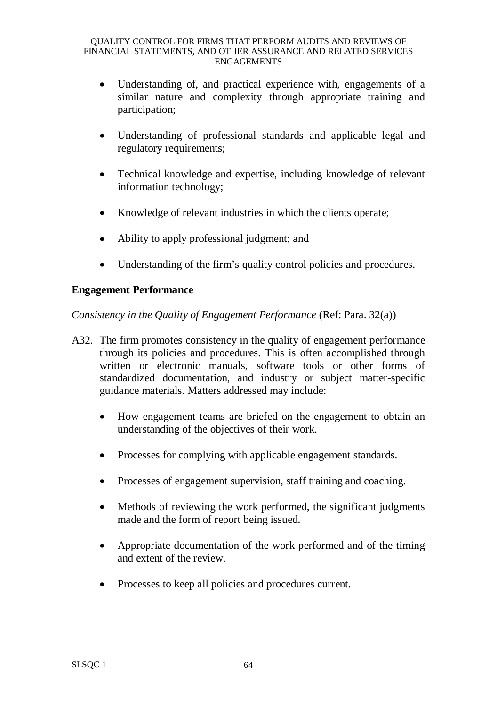- Understanding of, and practical experience with, engagements of a similar nature and complexity through appropriate training and participation;
- Understanding of professional standards and applicable legal and regulatory requirements;
- Technical knowledge and expertise, including knowledge of relevant information technology;
- Knowledge of relevant industries in which the clients operate;
- Ability to apply professional judgment; and
- Understanding of the firm's quality control policies and procedures.

### **Engagement Performance**

*Consistency in the Quality of Engagement Performance* (Ref: Para. 32(a))

- A32. The firm promotes consistency in the quality of engagement performance through its policies and procedures. This is often accomplished through written or electronic manuals, software tools or other forms of standardized documentation, and industry or subject matter-specific guidance materials. Matters addressed may include:
	- How engagement teams are briefed on the engagement to obtain an understanding of the objectives of their work.
	- Processes for complying with applicable engagement standards.
	- Processes of engagement supervision, staff training and coaching.
	- Methods of reviewing the work performed, the significant judgments made and the form of report being issued.
	- Appropriate documentation of the work performed and of the timing and extent of the review.
	- Processes to keep all policies and procedures current.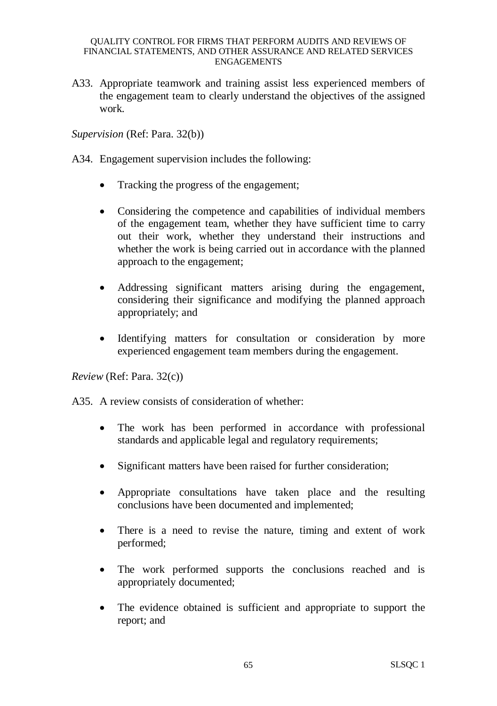A33. Appropriate teamwork and training assist less experienced members of the engagement team to clearly understand the objectives of the assigned work.

*Supervision* (Ref: Para. 32(b))

- A34. Engagement supervision includes the following:
	- Tracking the progress of the engagement;
	- Considering the competence and capabilities of individual members of the engagement team, whether they have sufficient time to carry out their work, whether they understand their instructions and whether the work is being carried out in accordance with the planned approach to the engagement;
	- Addressing significant matters arising during the engagement, considering their significance and modifying the planned approach appropriately; and
	- Identifying matters for consultation or consideration by more experienced engagement team members during the engagement.

*Review* (Ref: Para. 32(c))

- A35. A review consists of consideration of whether:
	- The work has been performed in accordance with professional standards and applicable legal and regulatory requirements;
	- Significant matters have been raised for further consideration;
	- Appropriate consultations have taken place and the resulting conclusions have been documented and implemented;
	- There is a need to revise the nature, timing and extent of work performed;
	- The work performed supports the conclusions reached and is appropriately documented;
	- The evidence obtained is sufficient and appropriate to support the report; and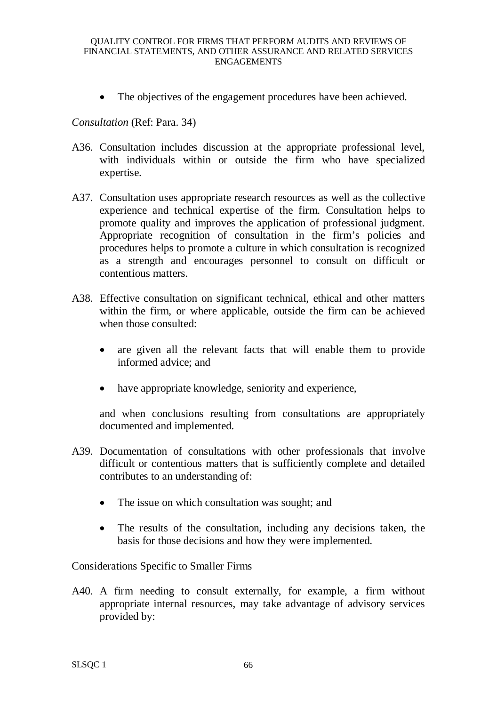• The objectives of the engagement procedures have been achieved.

### *Consultation* (Ref: Para. 34)

- A36. Consultation includes discussion at the appropriate professional level, with individuals within or outside the firm who have specialized expertise.
- A37. Consultation uses appropriate research resources as well as the collective experience and technical expertise of the firm. Consultation helps to promote quality and improves the application of professional judgment. Appropriate recognition of consultation in the firm's policies and procedures helps to promote a culture in which consultation is recognized as a strength and encourages personnel to consult on difficult or contentious matters.
- A38. Effective consultation on significant technical, ethical and other matters within the firm, or where applicable, outside the firm can be achieved when those consulted:
	- are given all the relevant facts that will enable them to provide informed advice; and
	- have appropriate knowledge, seniority and experience,

and when conclusions resulting from consultations are appropriately documented and implemented.

- A39. Documentation of consultations with other professionals that involve difficult or contentious matters that is sufficiently complete and detailed contributes to an understanding of:
	- The issue on which consultation was sought; and
	- The results of the consultation, including any decisions taken, the basis for those decisions and how they were implemented.

Considerations Specific to Smaller Firms

A40. A firm needing to consult externally, for example, a firm without appropriate internal resources, may take advantage of advisory services provided by: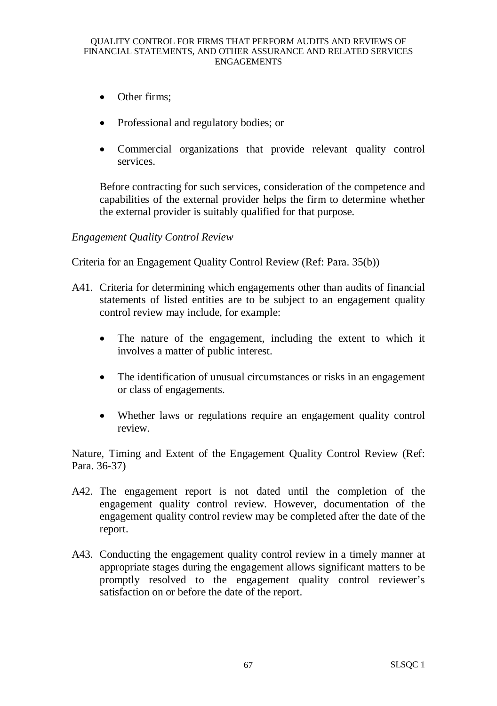- Other firms;
- Professional and regulatory bodies; or
- Commercial organizations that provide relevant quality control services.

Before contracting for such services, consideration of the competence and capabilities of the external provider helps the firm to determine whether the external provider is suitably qualified for that purpose.

# *Engagement Quality Control Review*

Criteria for an Engagement Quality Control Review (Ref: Para. 35(b))

- A41. Criteria for determining which engagements other than audits of financial statements of listed entities are to be subject to an engagement quality control review may include, for example:
	- The nature of the engagement, including the extent to which it involves a matter of public interest.
	- The identification of unusual circumstances or risks in an engagement or class of engagements.
	- Whether laws or regulations require an engagement quality control review.

Nature, Timing and Extent of the Engagement Quality Control Review (Ref: Para. 36-37)

- A42. The engagement report is not dated until the completion of the engagement quality control review. However, documentation of the engagement quality control review may be completed after the date of the report.
- A43. Conducting the engagement quality control review in a timely manner at appropriate stages during the engagement allows significant matters to be promptly resolved to the engagement quality control reviewer's satisfaction on or before the date of the report.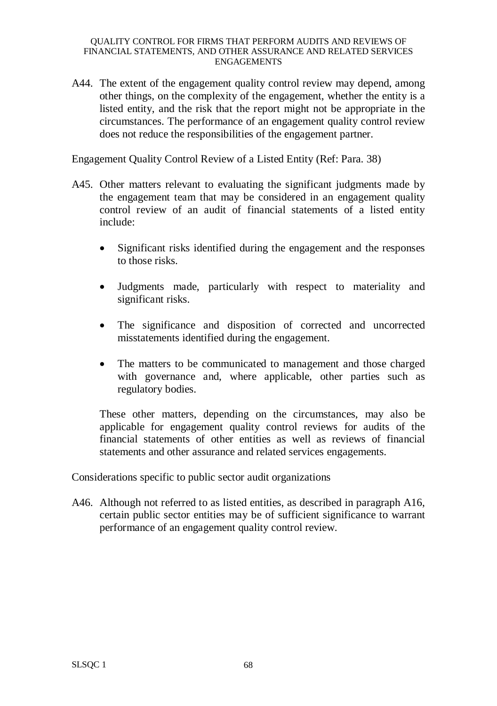A44. The extent of the engagement quality control review may depend, among other things, on the complexity of the engagement, whether the entity is a listed entity, and the risk that the report might not be appropriate in the circumstances. The performance of an engagement quality control review does not reduce the responsibilities of the engagement partner.

Engagement Quality Control Review of a Listed Entity (Ref: Para. 38)

- A45. Other matters relevant to evaluating the significant judgments made by the engagement team that may be considered in an engagement quality control review of an audit of financial statements of a listed entity include:
	- Significant risks identified during the engagement and the responses to those risks.
	- Judgments made, particularly with respect to materiality and significant risks.
	- The significance and disposition of corrected and uncorrected misstatements identified during the engagement.
	- The matters to be communicated to management and those charged with governance and, where applicable, other parties such as regulatory bodies.

These other matters, depending on the circumstances, may also be applicable for engagement quality control reviews for audits of the financial statements of other entities as well as reviews of financial statements and other assurance and related services engagements.

Considerations specific to public sector audit organizations

A46. Although not referred to as listed entities, as described in paragraph A16, certain public sector entities may be of sufficient significance to warrant performance of an engagement quality control review.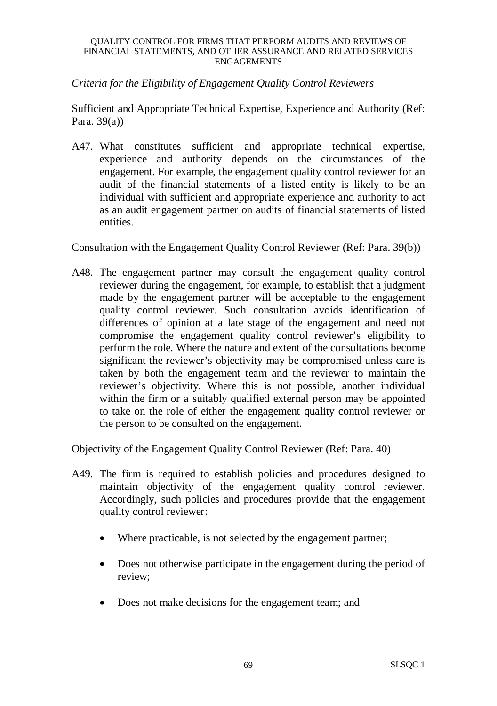*Criteria for the Eligibility of Engagement Quality Control Reviewers*

Sufficient and Appropriate Technical Expertise, Experience and Authority (Ref: Para.  $39(a)$ )

A47. What constitutes sufficient and appropriate technical expertise, experience and authority depends on the circumstances of the engagement. For example, the engagement quality control reviewer for an audit of the financial statements of a listed entity is likely to be an individual with sufficient and appropriate experience and authority to act as an audit engagement partner on audits of financial statements of listed entities.

Consultation with the Engagement Quality Control Reviewer (Ref: Para. 39(b))

A48. The engagement partner may consult the engagement quality control reviewer during the engagement, for example, to establish that a judgment made by the engagement partner will be acceptable to the engagement quality control reviewer. Such consultation avoids identification of differences of opinion at a late stage of the engagement and need not compromise the engagement quality control reviewer's eligibility to perform the role. Where the nature and extent of the consultations become significant the reviewer's objectivity may be compromised unless care is taken by both the engagement team and the reviewer to maintain the reviewer's objectivity. Where this is not possible, another individual within the firm or a suitably qualified external person may be appointed to take on the role of either the engagement quality control reviewer or the person to be consulted on the engagement.

Objectivity of the Engagement Quality Control Reviewer (Ref: Para. 40)

- A49. The firm is required to establish policies and procedures designed to maintain objectivity of the engagement quality control reviewer. Accordingly, such policies and procedures provide that the engagement quality control reviewer:
	- Where practicable, is not selected by the engagement partner;
	- Does not otherwise participate in the engagement during the period of review;
	- Does not make decisions for the engagement team; and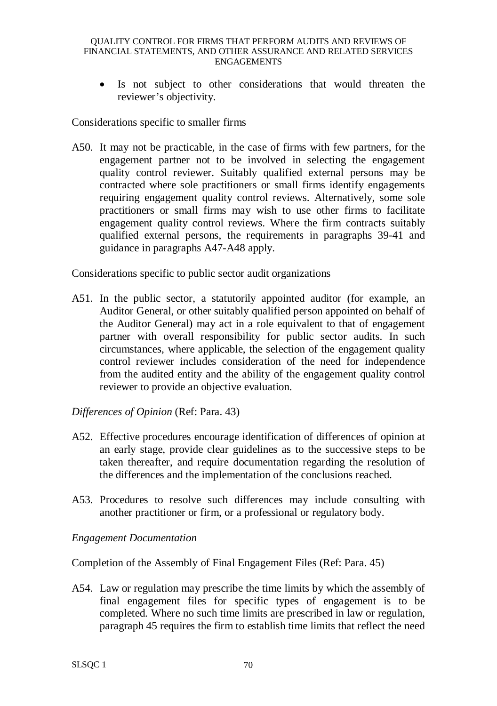Is not subject to other considerations that would threaten the reviewer's objectivity.

Considerations specific to smaller firms

A50. It may not be practicable, in the case of firms with few partners, for the engagement partner not to be involved in selecting the engagement quality control reviewer. Suitably qualified external persons may be contracted where sole practitioners or small firms identify engagements requiring engagement quality control reviews. Alternatively, some sole practitioners or small firms may wish to use other firms to facilitate engagement quality control reviews. Where the firm contracts suitably qualified external persons, the requirements in paragraphs 39-41 and guidance in paragraphs A47-A48 apply.

Considerations specific to public sector audit organizations

A51. In the public sector, a statutorily appointed auditor (for example, an Auditor General, or other suitably qualified person appointed on behalf of the Auditor General) may act in a role equivalent to that of engagement partner with overall responsibility for public sector audits. In such circumstances, where applicable, the selection of the engagement quality control reviewer includes consideration of the need for independence from the audited entity and the ability of the engagement quality control reviewer to provide an objective evaluation.

*Differences of Opinion* (Ref: Para. 43)

- A52. Effective procedures encourage identification of differences of opinion at an early stage, provide clear guidelines as to the successive steps to be taken thereafter, and require documentation regarding the resolution of the differences and the implementation of the conclusions reached.
- A53. Procedures to resolve such differences may include consulting with another practitioner or firm, or a professional or regulatory body.

# *Engagement Documentation*

Completion of the Assembly of Final Engagement Files (Ref: Para. 45)

A54. Law or regulation may prescribe the time limits by which the assembly of final engagement files for specific types of engagement is to be completed. Where no such time limits are prescribed in law or regulation, paragraph 45 requires the firm to establish time limits that reflect the need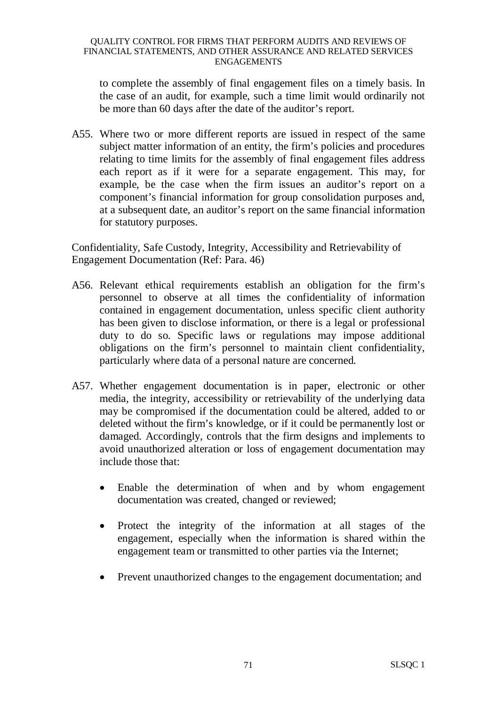to complete the assembly of final engagement files on a timely basis. In the case of an audit, for example, such a time limit would ordinarily not be more than 60 days after the date of the auditor's report.

A55. Where two or more different reports are issued in respect of the same subject matter information of an entity, the firm's policies and procedures relating to time limits for the assembly of final engagement files address each report as if it were for a separate engagement. This may, for example, be the case when the firm issues an auditor's report on a component's financial information for group consolidation purposes and, at a subsequent date, an auditor's report on the same financial information for statutory purposes.

Confidentiality, Safe Custody, Integrity, Accessibility and Retrievability of Engagement Documentation (Ref: Para. 46)

- A56. Relevant ethical requirements establish an obligation for the firm's personnel to observe at all times the confidentiality of information contained in engagement documentation, unless specific client authority has been given to disclose information, or there is a legal or professional duty to do so. Specific laws or regulations may impose additional obligations on the firm's personnel to maintain client confidentiality, particularly where data of a personal nature are concerned.
- A57. Whether engagement documentation is in paper, electronic or other media, the integrity, accessibility or retrievability of the underlying data may be compromised if the documentation could be altered, added to or deleted without the firm's knowledge, or if it could be permanently lost or damaged. Accordingly, controls that the firm designs and implements to avoid unauthorized alteration or loss of engagement documentation may include those that:
	- Enable the determination of when and by whom engagement documentation was created, changed or reviewed;
	- Protect the integrity of the information at all stages of the engagement, especially when the information is shared within the engagement team or transmitted to other parties via the Internet;
	- Prevent unauthorized changes to the engagement documentation; and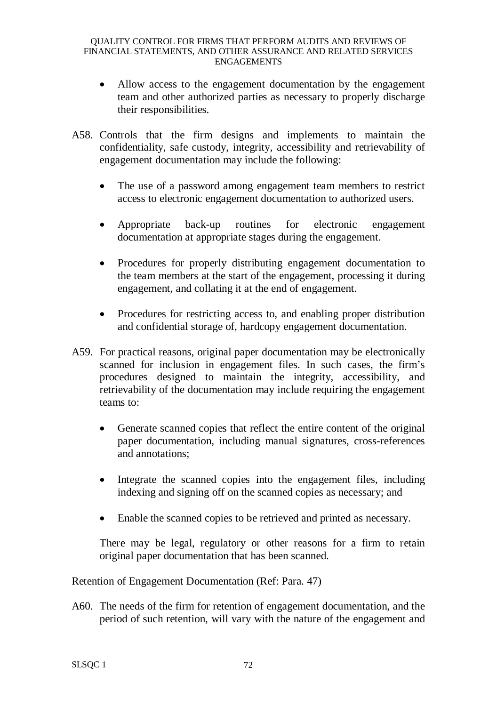- Allow access to the engagement documentation by the engagement team and other authorized parties as necessary to properly discharge their responsibilities.
- A58. Controls that the firm designs and implements to maintain the confidentiality, safe custody, integrity, accessibility and retrievability of engagement documentation may include the following:
	- The use of a password among engagement team members to restrict access to electronic engagement documentation to authorized users.
	- Appropriate back-up routines for electronic engagement documentation at appropriate stages during the engagement.
	- Procedures for properly distributing engagement documentation to the team members at the start of the engagement, processing it during engagement, and collating it at the end of engagement.
	- Procedures for restricting access to, and enabling proper distribution and confidential storage of, hardcopy engagement documentation.
- A59. For practical reasons, original paper documentation may be electronically scanned for inclusion in engagement files. In such cases, the firm's procedures designed to maintain the integrity, accessibility, and retrievability of the documentation may include requiring the engagement teams to:
	- Generate scanned copies that reflect the entire content of the original paper documentation, including manual signatures, cross-references and annotations;
	- Integrate the scanned copies into the engagement files, including indexing and signing off on the scanned copies as necessary; and
	- Enable the scanned copies to be retrieved and printed as necessary.

There may be legal, regulatory or other reasons for a firm to retain original paper documentation that has been scanned.

Retention of Engagement Documentation (Ref: Para. 47)

A60. The needs of the firm for retention of engagement documentation, and the period of such retention, will vary with the nature of the engagement and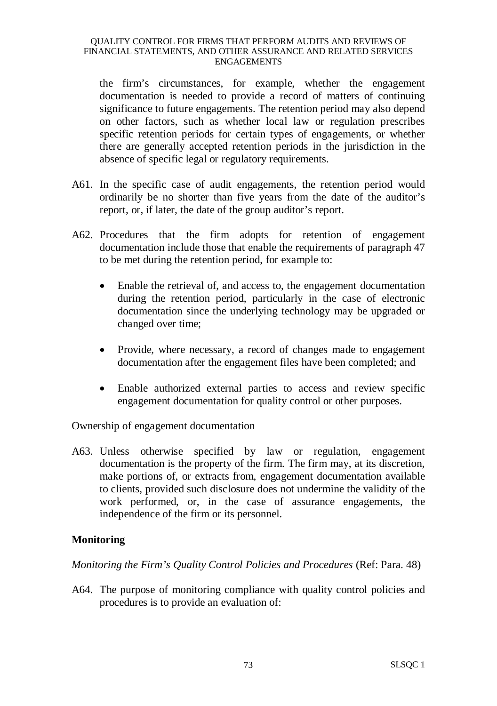the firm's circumstances, for example, whether the engagement documentation is needed to provide a record of matters of continuing significance to future engagements. The retention period may also depend on other factors, such as whether local law or regulation prescribes specific retention periods for certain types of engagements, or whether there are generally accepted retention periods in the jurisdiction in the absence of specific legal or regulatory requirements.

- A61. In the specific case of audit engagements, the retention period would ordinarily be no shorter than five years from the date of the auditor's report, or, if later, the date of the group auditor's report.
- A62. Procedures that the firm adopts for retention of engagement documentation include those that enable the requirements of paragraph 47 to be met during the retention period, for example to:
	- Enable the retrieval of, and access to, the engagement documentation during the retention period, particularly in the case of electronic documentation since the underlying technology may be upgraded or changed over time;
	- Provide, where necessary, a record of changes made to engagement documentation after the engagement files have been completed; and
	- Enable authorized external parties to access and review specific engagement documentation for quality control or other purposes.

Ownership of engagement documentation

A63. Unless otherwise specified by law or regulation, engagement documentation is the property of the firm. The firm may, at its discretion, make portions of, or extracts from, engagement documentation available to clients, provided such disclosure does not undermine the validity of the work performed, or, in the case of assurance engagements, the independence of the firm or its personnel.

# **Monitoring**

# *Monitoring the Firm's Quality Control Policies and Procedures (Ref: Para. 48)*

A64. The purpose of monitoring compliance with quality control policies and procedures is to provide an evaluation of: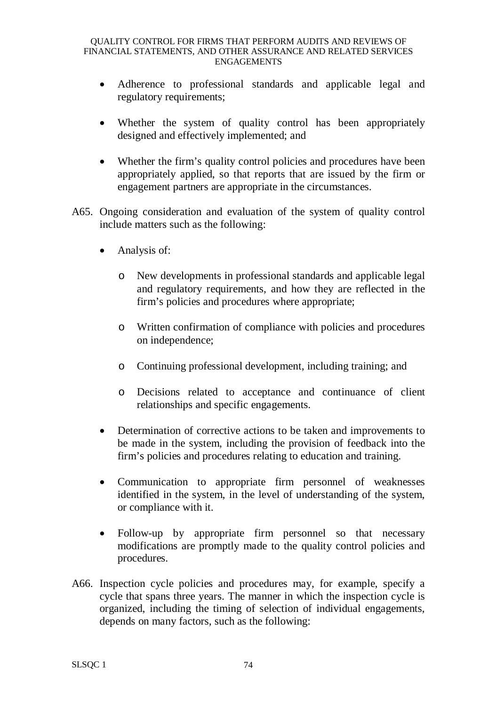- Adherence to professional standards and applicable legal and regulatory requirements;
- Whether the system of quality control has been appropriately designed and effectively implemented; and
- Whether the firm's quality control policies and procedures have been appropriately applied, so that reports that are issued by the firm or engagement partners are appropriate in the circumstances.
- A65. Ongoing consideration and evaluation of the system of quality control include matters such as the following:
	- Analysis of:
		- o New developments in professional standards and applicable legal and regulatory requirements, and how they are reflected in the firm's policies and procedures where appropriate;
		- o Written confirmation of compliance with policies and procedures on independence;
		- o Continuing professional development, including training; and
		- o Decisions related to acceptance and continuance of client relationships and specific engagements.
	- Determination of corrective actions to be taken and improvements to be made in the system, including the provision of feedback into the firm's policies and procedures relating to education and training.
	- Communication to appropriate firm personnel of weaknesses identified in the system, in the level of understanding of the system, or compliance with it.
	- Follow-up by appropriate firm personnel so that necessary modifications are promptly made to the quality control policies and procedures.
- A66. Inspection cycle policies and procedures may, for example, specify a cycle that spans three years. The manner in which the inspection cycle is organized, including the timing of selection of individual engagements, depends on many factors, such as the following: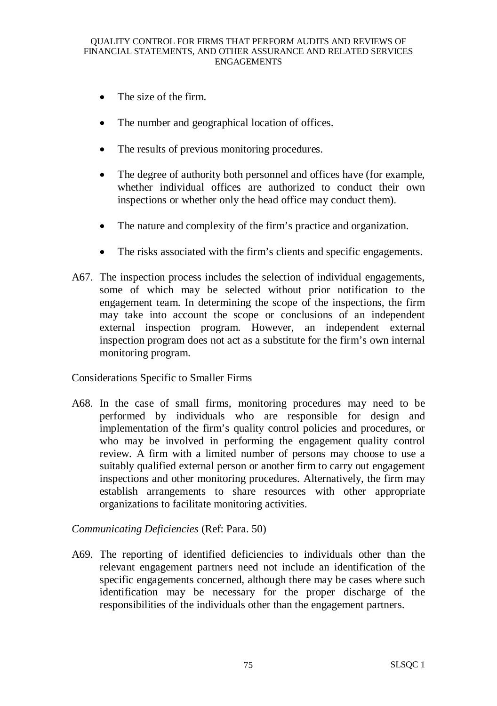- The size of the firm.
- The number and geographical location of offices.
- The results of previous monitoring procedures.
- The degree of authority both personnel and offices have (for example, whether individual offices are authorized to conduct their own inspections or whether only the head office may conduct them).
- The nature and complexity of the firm's practice and organization.
- The risks associated with the firm's clients and specific engagements.
- A67. The inspection process includes the selection of individual engagements, some of which may be selected without prior notification to the engagement team. In determining the scope of the inspections, the firm may take into account the scope or conclusions of an independent external inspection program. However, an independent external inspection program does not act as a substitute for the firm's own internal monitoring program.

Considerations Specific to Smaller Firms

A68. In the case of small firms, monitoring procedures may need to be performed by individuals who are responsible for design and implementation of the firm's quality control policies and procedures, or who may be involved in performing the engagement quality control review. A firm with a limited number of persons may choose to use a suitably qualified external person or another firm to carry out engagement inspections and other monitoring procedures. Alternatively, the firm may establish arrangements to share resources with other appropriate organizations to facilitate monitoring activities.

# *Communicating Deficiencies* (Ref: Para. 50)

A69. The reporting of identified deficiencies to individuals other than the relevant engagement partners need not include an identification of the specific engagements concerned, although there may be cases where such identification may be necessary for the proper discharge of the responsibilities of the individuals other than the engagement partners.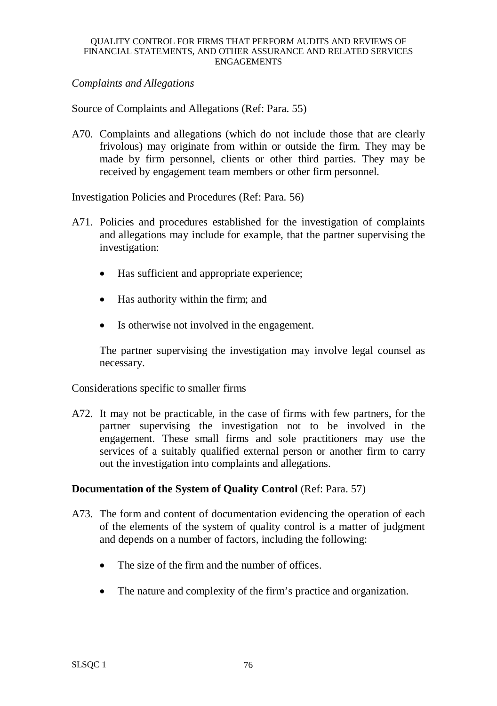### *Complaints and Allegations*

Source of Complaints and Allegations (Ref: Para. 55)

A70. Complaints and allegations (which do not include those that are clearly frivolous) may originate from within or outside the firm. They may be made by firm personnel, clients or other third parties. They may be received by engagement team members or other firm personnel.

Investigation Policies and Procedures (Ref: Para. 56)

- A71. Policies and procedures established for the investigation of complaints and allegations may include for example, that the partner supervising the investigation:
	- Has sufficient and appropriate experience;
	- Has authority within the firm; and
	- Is otherwise not involved in the engagement.

The partner supervising the investigation may involve legal counsel as necessary.

Considerations specific to smaller firms

A72. It may not be practicable, in the case of firms with few partners, for the partner supervising the investigation not to be involved in the engagement. These small firms and sole practitioners may use the services of a suitably qualified external person or another firm to carry out the investigation into complaints and allegations.

# **Documentation of the System of Quality Control (Ref: Para. 57)**

- A73. The form and content of documentation evidencing the operation of each of the elements of the system of quality control is a matter of judgment and depends on a number of factors, including the following:
	- The size of the firm and the number of offices
	- The nature and complexity of the firm's practice and organization.